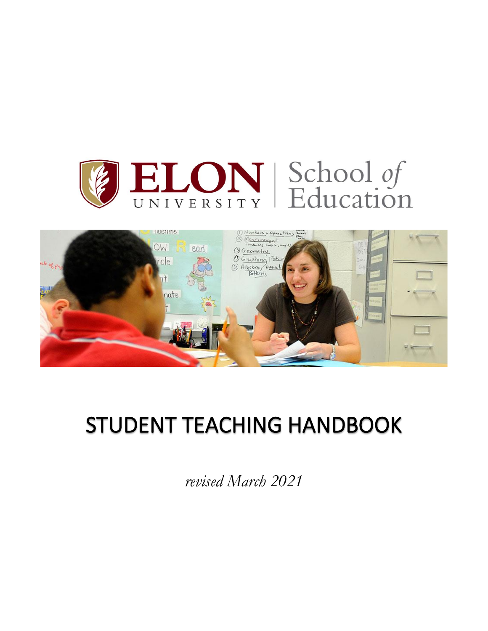



# STUDENT TEACHING HANDBOOK

*revised March 2021*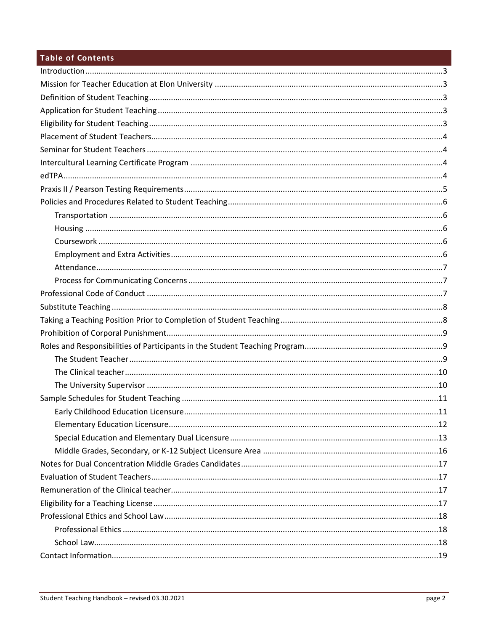# Table of Contents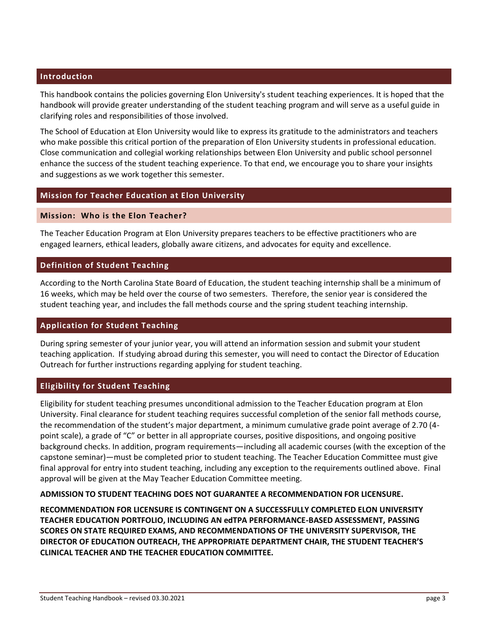# **Introduction**

This handbook contains the policies governing Elon University's student teaching experiences. It is hoped that the handbook will provide greater understanding of the student teaching program and will serve as a useful guide in clarifying roles and responsibilities of those involved.

The School of Education at Elon University would like to express its gratitude to the administrators and teachers who make possible this critical portion of the preparation of Elon University students in professional education. Close communication and collegial working relationships between Elon University and public school personnel enhance the success of the student teaching experience. To that end, we encourage you to share your insights and suggestions as we work together this semester.

#### **Mission for Teacher Education at Elon University**

#### **Mission: Who is the Elon Teacher?**

The Teacher Education Program at Elon University prepares teachers to be effective practitioners who are engaged learners, ethical leaders, globally aware citizens, and advocates for equity and excellence.

#### **Definition of Student Teaching**

According to the North Carolina State Board of Education, the student teaching internship shall be a minimum of 16 weeks, which may be held over the course of two semesters. Therefore, the senior year is considered the student teaching year, and includes the fall methods course and the spring student teaching internship.

#### **Application for Student Teaching**

During spring semester of your junior year, you will attend an information session and submit your student teaching application. If studying abroad during this semester, you will need to contact the Director of Education Outreach for further instructions regarding applying for student teaching.

#### **Eligibility for Student Teaching**

Eligibility for student teaching presumes unconditional admission to the Teacher Education program at Elon University. Final clearance for student teaching requires successful completion of the senior fall methods course, the recommendation of the student's major department, a minimum cumulative grade point average of 2.70 (4 point scale), a grade of "C" or better in all appropriate courses, positive dispositions, and ongoing positive background checks. In addition, program requirements—including all academic courses (with the exception of the capstone seminar)—must be completed prior to student teaching. The Teacher Education Committee must give final approval for entry into student teaching, including any exception to the requirements outlined above. Final approval will be given at the May Teacher Education Committee meeting.

#### **ADMISSION TO STUDENT TEACHING DOES NOT GUARANTEE A RECOMMENDATION FOR LICENSURE.**

**RECOMMENDATION FOR LICENSURE IS CONTINGENT ON A SUCCESSFULLY COMPLETED ELON UNIVERSITY TEACHER EDUCATION PORTFOLIO, INCLUDING AN edTPA PERFORMANCE-BASED ASSESSMENT, PASSING SCORES ON STATE REQUIRED EXAMS, AND RECOMMENDATIONS OF THE UNIVERSITY SUPERVISOR, THE DIRECTOR OF EDUCATION OUTREACH, THE APPROPRIATE DEPARTMENT CHAIR, THE STUDENT TEACHER'S CLINICAL TEACHER AND THE TEACHER EDUCATION COMMITTEE.**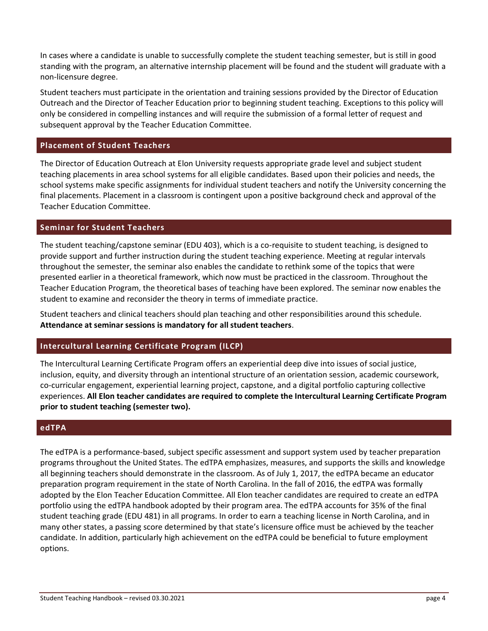In cases where a candidate is unable to successfully complete the student teaching semester, but is still in good standing with the program, an alternative internship placement will be found and the student will graduate with a non-licensure degree.

Student teachers must participate in the orientation and training sessions provided by the Director of Education Outreach and the Director of Teacher Education prior to beginning student teaching. Exceptions to this policy will only be considered in compelling instances and will require the submission of a formal letter of request and subsequent approval by the Teacher Education Committee.

# **Placement of Student Teachers**

The Director of Education Outreach at Elon University requests appropriate grade level and subject student teaching placements in area school systems for all eligible candidates. Based upon their policies and needs, the school systems make specific assignments for individual student teachers and notify the University concerning the final placements. Placement in a classroom is contingent upon a positive background check and approval of the Teacher Education Committee.

#### **Seminar for Student Teachers**

The student teaching/capstone seminar (EDU 403), which is a co-requisite to student teaching, is designed to provide support and further instruction during the student teaching experience. Meeting at regular intervals throughout the semester, the seminar also enables the candidate to rethink some of the topics that were presented earlier in a theoretical framework, which now must be practiced in the classroom. Throughout the Teacher Education Program, the theoretical bases of teaching have been explored. The seminar now enables the student to examine and reconsider the theory in terms of immediate practice.

Student teachers and clinical teachers should plan teaching and other responsibilities around this schedule. **Attendance at seminar sessions is mandatory for all student teachers**.

# **Intercultural Learning Certificate Program (ILCP)**

The Intercultural Learning Certificate Program offers an experiential deep dive into issues of social justice, inclusion, equity, and diversity through an intentional structure of an orientation session, academic coursework, co-curricular engagement, experiential learning project, capstone, and a digital portfolio capturing collective experiences. **All Elon teacher candidates are required to complete the Intercultural Learning Certificate Program prior to student teaching (semester two).**

#### **edTPA**

The edTPA is a performance-based, subject specific assessment and support system used by teacher preparation programs throughout the United States. The edTPA emphasizes, measures, and supports the skills and knowledge all beginning teachers should demonstrate in the classroom. As of July 1, 2017, the edTPA became an educator preparation program requirement in the state of North Carolina. In the fall of 2016, the edTPA was formally adopted by the Elon Teacher Education Committee. All Elon teacher candidates are required to create an edTPA portfolio using the edTPA handbook adopted by their program area. The edTPA accounts for 35% of the final student teaching grade (EDU 481) in all programs. In order to earn a teaching license in North Carolina, and in many other states, a passing score determined by that state's licensure office must be achieved by the teacher candidate. In addition, particularly high achievement on the edTPA could be beneficial to future employment options.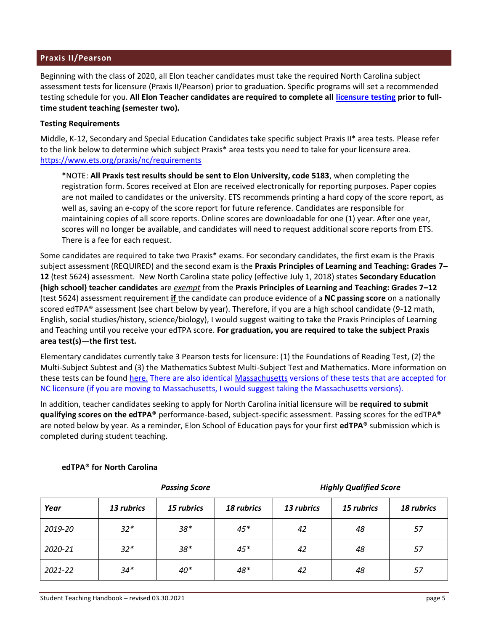#### **Praxis II/Pearson**

Beginning with the class of 2020, all Elon teacher candidates must take the required North Carolina subject assessment tests for licensure (Praxis II/Pearson) prior to graduation. Specific programs will set a recommended testing schedule for you. **All Elon Teacher candidates are required to complete all [licensure testing](https://www.elon.edu/u/academics/education/wp-content/uploads/sites/27/2021/05/REVISED-Licensure-Testing-Information-may-2021.pdf) prior to fulltime student teaching (semester two).**

#### **Testing Requirements**

Middle, K-12, Secondary and Special Education Candidates take specific subject Praxis II\* area tests. Please refer to the link below to determine which subject Praxis\* area tests you need to take for your licensure area. [https://www.ets.org/praxis/nc/requirements](https://na01.safelinks.protection.outlook.com/?url=https%3A%2F%2Fwww.ets.org%2Fpraxis%2Fnc%2Frequirements&data=02%7C01%7Clhenry7%40ELON.EDU%7C92a0b90ed4854aac40c408d655ffd48d%7Cba18326d711f4ae286816115493a7a53%7C1%7C0%7C636790954653858805&sdata=owFsF6JcDkAQd1ZJfsFsMRok97but1g1rHa2DGRiWYY%3D&reserved=0)

\*NOTE: **All Praxis test results should be sent to Elon University, code 5183**, when completing the registration form. Scores received at Elon are received electronically for reporting purposes. Paper copies are not mailed to candidates or the university. ETS recommends printing a hard copy of the score report, as well as, saving an e-copy of the score report for future reference. Candidates are responsible for maintaining copies of all score reports. Online scores are downloadable for one (1) year. After one year, scores will no longer be available, and candidates will need to request additional score reports from ETS. There is a fee for each request.

Some candidates are required to take two Praxis\* exams. For secondary candidates, the first exam is the Praxis subject assessment (REQUIRED) and the second exam is the **Praxis Principles of Learning and Teaching: Grades 7– 12** (test 5624) assessment. New North Carolina state policy (effective July 1, 2018) states **Secondary Education (high school) teacher candidates** are *exempt* from the **Praxis Principles of Learning and Teaching: Grades 7–12** (test 5624) assessment requirement **if** the candidate can produce evidence of a **NC passing score** on a nationally scored edTPA® assessment (see chart below by year). Therefore, if you are a high school candidate (9-12 math, English, social studies/history, science/biology), I would suggest waiting to take the Praxis Principles of Learning and Teaching until you receive your edTPA score. **For graduation, you are required to take the subject Praxis area test(s)—the first test.**

Elementary candidates currently take 3 Pearson tests for licensure: (1) the Foundations of Reading Test, (2) the Multi-Subject Subtest and (3) the Mathematics Subtest Multi-Subject Test and Mathematics. More information on these tests can be found [here.](https://na01.safelinks.protection.outlook.com/?url=http%3A%2F%2Fwww.nc.nesinc.com%2FTestView.aspx%3Ff%3DHTML_FRAG%2FSA003_TestPage.html&data=02%7C01%7Clhenry7%40ELON.EDU%7C92a0b90ed4854aac40c408d655ffd48d%7Cba18326d711f4ae286816115493a7a53%7C1%7C0%7C636790954653868819&sdata=gOgs2Ztaunwh%2FBdOy%2BLu3YihXNveaABfhhA0xMOWURo%3D&reserved=0) There are also identical [Massachusetts](https://na01.safelinks.protection.outlook.com/?url=http%3A%2F%2Fwww.mtel.nesinc.com%2F&data=02%7C01%7Clhenry7%40ELON.EDU%7C92a0b90ed4854aac40c408d655ffd48d%7Cba18326d711f4ae286816115493a7a53%7C1%7C0%7C636790954653868819&sdata=HEEbSolPVmLjurACZhPq9k%2F7nz0DH%2BIJDfqZ2gEdffI%3D&reserved=0) versions of these tests that are accepted for NC licensure (if you are moving to Massachusetts, I would suggest taking the Massachusetts versions).

In addition, teacher candidates seeking to apply for North Carolina initial licensure will be **required to submit qualifying scores on the edTPA®** performance-based, subject-specific assessment. Passing scores for the edTPA® are noted below by year. As a reminder, Elon School of Education pays for your first **edTPA®** submission which is completed during student teaching.

|         | <b>Passing Score</b> |            |            | <b>Highly Qualified Score</b> |            |            |
|---------|----------------------|------------|------------|-------------------------------|------------|------------|
| Year    | 13 rubrics           | 15 rubrics | 18 rubrics | 13 rubrics                    | 15 rubrics | 18 rubrics |
| 2019-20 | $32*$                | $38*$      | $45*$      | 42                            | 48         | 57         |
| 2020-21 | $32*$                | $38*$      | $45*$      | 42                            | 48         | 57         |
| 2021-22 | $34*$                | $40*$      | 48*        | 42                            | 48         | 57         |

#### **edTPA® for North Carolina**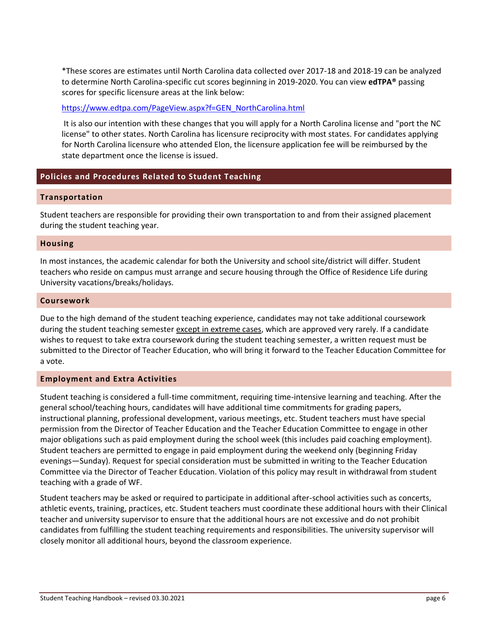\*These scores are estimates until North Carolina data collected over 2017-18 and 2018-19 can be analyzed to determine North Carolina-specific cut scores beginning in 2019-2020. You can view **edTPA®** passing scores for specific licensure areas at the link below:

#### [https://www.edtpa.com/PageView.aspx?f=GEN\\_NorthCarolina.html](https://na01.safelinks.protection.outlook.com/?url=https%3A%2F%2Fwww.edtpa.com%2FPageView.aspx%3Ff%3DGEN_NorthCarolina.html&data=02%7C01%7Clhenry7%40ELON.EDU%7C92a0b90ed4854aac40c408d655ffd48d%7Cba18326d711f4ae286816115493a7a53%7C1%7C0%7C636790954653878824&sdata=U3lQFTPkGXbrOGLCzkhYlA4xlVGP0sDIs%2BePBRnttiU%3D&reserved=0)

It is also our intention with these changes that you will apply for a North Carolina license and "port the NC license" to other states. North Carolina has licensure reciprocity with most states. For candidates applying for North Carolina licensure who attended Elon, the licensure application fee will be reimbursed by the state department once the license is issued.

# **Policies and Procedures Related to Student Teaching**

#### **Transportation**

Student teachers are responsible for providing their own transportation to and from their assigned placement during the student teaching year.

#### **Housing**

In most instances, the academic calendar for both the University and school site/district will differ. Student teachers who reside on campus must arrange and secure housing through the Office of Residence Life during University vacations/breaks/holidays.

#### **Coursework**

Due to the high demand of the student teaching experience, candidates may not take additional coursework during the student teaching semester except in extreme cases, which are approved very rarely. If a candidate wishes to request to take extra coursework during the student teaching semester, a written request must be submitted to the Director of Teacher Education, who will bring it forward to the Teacher Education Committee for a vote.

#### **Employment and Extra Activities**

Student teaching is considered a full-time commitment, requiring time-intensive learning and teaching. After the general school/teaching hours, candidates will have additional time commitments for grading papers, instructional planning, professional development, various meetings, etc. Student teachers must have special permission from the Director of Teacher Education and the Teacher Education Committee to engage in other major obligations such as paid employment during the school week (this includes paid coaching employment). Student teachers are permitted to engage in paid employment during the weekend only (beginning Friday evenings—Sunday). Request for special consideration must be submitted in writing to the Teacher Education Committee via the Director of Teacher Education. Violation of this policy may result in withdrawal from student teaching with a grade of WF.

Student teachers may be asked or required to participate in additional after-school activities such as concerts, athletic events, training, practices, etc. Student teachers must coordinate these additional hours with their Clinical teacher and university supervisor to ensure that the additional hours are not excessive and do not prohibit candidates from fulfilling the student teaching requirements and responsibilities. The university supervisor will closely monitor all additional hours, beyond the classroom experience.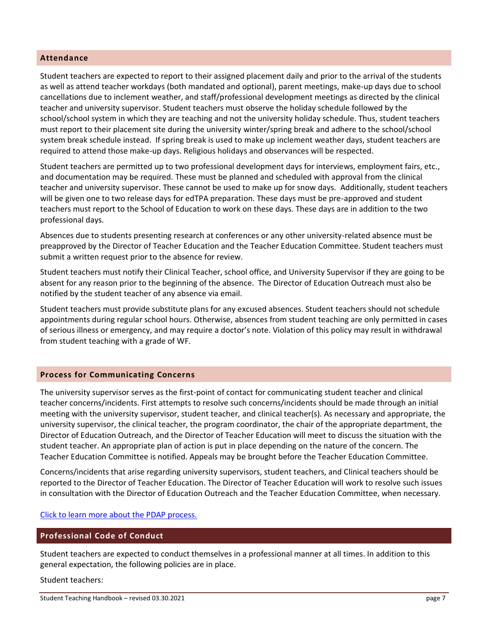#### **Attendance**

Student teachers are expected to report to their assigned placement daily and prior to the arrival of the students as well as attend teacher workdays (both mandated and optional), parent meetings, make-up days due to school cancellations due to inclement weather, and staff/professional development meetings as directed by the clinical teacher and university supervisor. Student teachers must observe the holiday schedule followed by the school/school system in which they are teaching and not the university holiday schedule. Thus, student teachers must report to their placement site during the university winter/spring break and adhere to the school/school system break schedule instead. If spring break is used to make up inclement weather days, student teachers are required to attend those make-up days. Religious holidays and observances will be respected.

Student teachers are permitted up to two professional development days for interviews, employment fairs, etc., and documentation may be required. These must be planned and scheduled with approval from the clinical teacher and university supervisor. These cannot be used to make up for snow days. Additionally, student teachers will be given one to two release days for edTPA preparation. These days must be pre-approved and student teachers must report to the School of Education to work on these days. These days are in addition to the two professional days.

Absences due to students presenting research at conferences or any other university-related absence must be preapproved by the Director of Teacher Education and the Teacher Education Committee. Student teachers must submit a written request prior to the absence for review.

Student teachers must notify their Clinical Teacher, school office, and University Supervisor if they are going to be absent for any reason prior to the beginning of the absence. The Director of Education Outreach must also be notified by the student teacher of any absence via email.

Student teachers must provide substitute plans for any excused absences. Student teachers should not schedule appointments during regular school hours. Otherwise, absences from student teaching are only permitted in cases of serious illness or emergency, and may require a doctor's note. Violation of this policy may result in withdrawal from student teaching with a grade of WF.

#### **Process for Communicating Concerns**

The university supervisor serves as the first-point of contact for communicating student teacher and clinical teacher concerns/incidents. First attempts to resolve such concerns/incidents should be made through an initial meeting with the university supervisor, student teacher, and clinical teacher(s). As necessary and appropriate, the university supervisor, the clinical teacher, the program coordinator, the chair of the appropriate department, the Director of Education Outreach, and the Director of Teacher Education will meet to discuss the situation with the student teacher. An appropriate plan of action is put in place depending on the nature of the concern. The Teacher Education Committee is notified. Appeals may be brought before the Teacher Education Committee.

Concerns/incidents that arise regarding university supervisors, student teachers, and Clinical teachers should be reported to the Director of Teacher Education. The Director of Teacher Education will work to resolve such issues in consultation with the Director of Education Outreach and the Teacher Education Committee, when necessary.

#### [Click to learn more about the PDAP process.](https://www.elon.edu/u/academics/education/wp-content/uploads/sites/27/2021/07/PDAP-Process-revised-final-print-version_2021.pdf)

#### **Professional Code of Conduct**

Student teachers are expected to conduct themselves in a professional manner at all times. In addition to this general expectation, the following policies are in place.

Student teachers: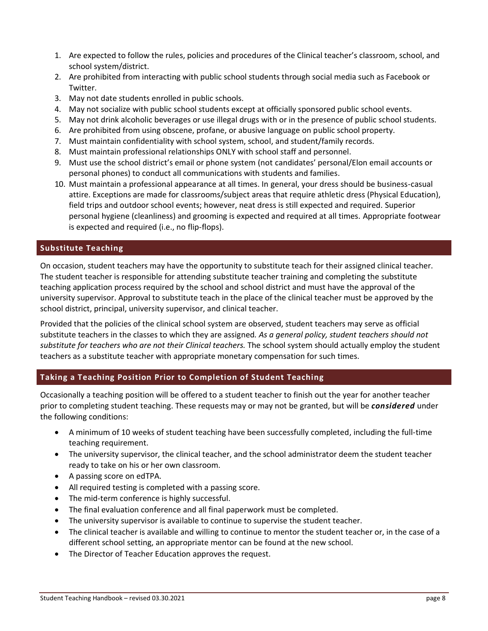- 1. Are expected to follow the rules, policies and procedures of the Clinical teacher's classroom, school, and school system/district.
- 2. Are prohibited from interacting with public school students through social media such as Facebook or Twitter.
- 3. May not date students enrolled in public schools.
- 4. May not socialize with public school students except at officially sponsored public school events.
- 5. May not drink alcoholic beverages or use illegal drugs with or in the presence of public school students.
- 6. Are prohibited from using obscene, profane, or abusive language on public school property.
- 7. Must maintain confidentiality with school system, school, and student/family records.
- 8. Must maintain professional relationships ONLY with school staff and personnel.
- 9. Must use the school district's email or phone system (not candidates' personal/Elon email accounts or personal phones) to conduct all communications with students and families.
- 10. Must maintain a professional appearance at all times. In general, your dress should be business-casual attire. Exceptions are made for classrooms/subject areas that require athletic dress (Physical Education), field trips and outdoor school events; however, neat dress is still expected and required. Superior personal hygiene (cleanliness) and grooming is expected and required at all times. Appropriate footwear is expected and required (i.e., no flip-flops).

# **Substitute Teaching**

On occasion, student teachers may have the opportunity to substitute teach for their assigned clinical teacher. The student teacher is responsible for attending substitute teacher training and completing the substitute teaching application process required by the school and school district and must have the approval of the university supervisor. Approval to substitute teach in the place of the clinical teacher must be approved by the school district, principal, university supervisor, and clinical teacher.

Provided that the policies of the clinical school system are observed, student teachers may serve as official substitute teachers in the classes to which they are assigned*. As a general policy, student teachers should not substitute for teachers who are not their Clinical teachers.* The school system should actually employ the student teachers as a substitute teacher with appropriate monetary compensation for such times.

# **Taking a Teaching Position Prior to Completion of Student Teaching**

Occasionally a teaching position will be offered to a student teacher to finish out the year for another teacher prior to completing student teaching. These requests may or may not be granted, but will be *considered* under the following conditions:

- A minimum of 10 weeks of student teaching have been successfully completed, including the full-time teaching requirement.
- The university supervisor, the clinical teacher, and the school administrator deem the student teacher ready to take on his or her own classroom.
- A passing score on edTPA.
- All required testing is completed with a passing score.
- The mid-term conference is highly successful.
- The final evaluation conference and all final paperwork must be completed.
- The university supervisor is available to continue to supervise the student teacher.
- The clinical teacher is available and willing to continue to mentor the student teacher or, in the case of a different school setting, an appropriate mentor can be found at the new school.
- The Director of Teacher Education approves the request.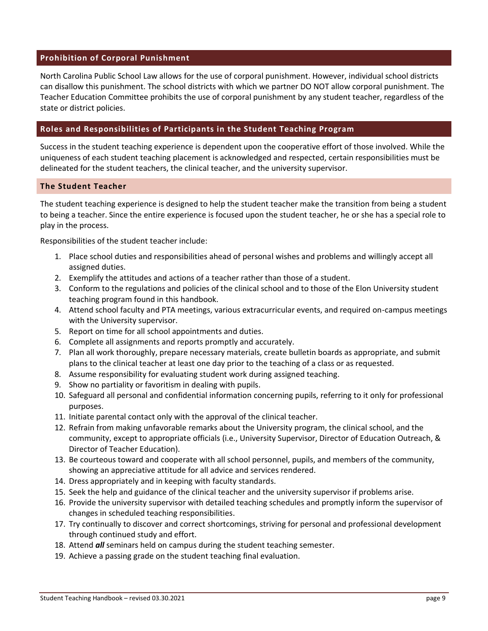#### **Prohibition of Corporal Punishment**

North Carolina Public School Law allows for the use of corporal punishment. However, individual school districts can disallow this punishment. The school districts with which we partner DO NOT allow corporal punishment. The Teacher Education Committee prohibits the use of corporal punishment by any student teacher, regardless of the state or district policies.

#### **Roles and Responsibilities of Participants in the Student Teaching Program**

Success in the student teaching experience is dependent upon the cooperative effort of those involved. While the uniqueness of each student teaching placement is acknowledged and respected, certain responsibilities must be delineated for the student teachers, the clinical teacher, and the university supervisor.

#### **The Student Teacher**

The student teaching experience is designed to help the student teacher make the transition from being a student to being a teacher. Since the entire experience is focused upon the student teacher, he or she has a special role to play in the process.

Responsibilities of the student teacher include:

- 1. Place school duties and responsibilities ahead of personal wishes and problems and willingly accept all assigned duties.
- 2. Exemplify the attitudes and actions of a teacher rather than those of a student.
- 3. Conform to the regulations and policies of the clinical school and to those of the Elon University student teaching program found in this handbook.
- 4. Attend school faculty and PTA meetings, various extracurricular events, and required on-campus meetings with the University supervisor.
- 5. Report on time for all school appointments and duties.
- 6. Complete all assignments and reports promptly and accurately.
- 7. Plan all work thoroughly, prepare necessary materials, create bulletin boards as appropriate, and submit plans to the clinical teacher at least one day prior to the teaching of a class or as requested.
- 8. Assume responsibility for evaluating student work during assigned teaching.
- 9. Show no partiality or favoritism in dealing with pupils.
- 10. Safeguard all personal and confidential information concerning pupils, referring to it only for professional purposes.
- 11. Initiate parental contact only with the approval of the clinical teacher.
- 12. Refrain from making unfavorable remarks about the University program, the clinical school, and the community, except to appropriate officials (i.e., University Supervisor, Director of Education Outreach, & Director of Teacher Education).
- 13. Be courteous toward and cooperate with all school personnel, pupils, and members of the community, showing an appreciative attitude for all advice and services rendered.
- 14. Dress appropriately and in keeping with faculty standards.
- 15. Seek the help and guidance of the clinical teacher and the university supervisor if problems arise.
- 16. Provide the university supervisor with detailed teaching schedules and promptly inform the supervisor of changes in scheduled teaching responsibilities.
- 17. Try continually to discover and correct shortcomings, striving for personal and professional development through continued study and effort.
- 18. Attend *all* seminars held on campus during the student teaching semester.
- 19. Achieve a passing grade on the student teaching final evaluation.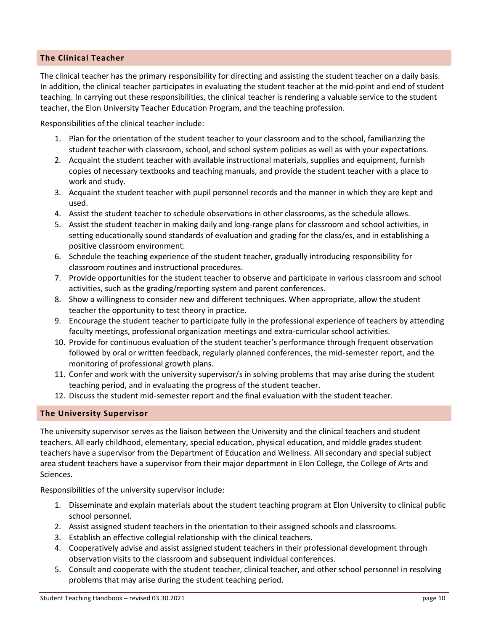# **The Clinical Teacher**

The clinical teacher has the primary responsibility for directing and assisting the student teacher on a daily basis. In addition, the clinical teacher participates in evaluating the student teacher at the mid-point and end of student teaching. In carrying out these responsibilities, the clinical teacher is rendering a valuable service to the student teacher, the Elon University Teacher Education Program, and the teaching profession.

Responsibilities of the clinical teacher include:

- 1. Plan for the orientation of the student teacher to your classroom and to the school, familiarizing the student teacher with classroom, school, and school system policies as well as with your expectations.
- 2. Acquaint the student teacher with available instructional materials, supplies and equipment, furnish copies of necessary textbooks and teaching manuals, and provide the student teacher with a place to work and study.
- 3. Acquaint the student teacher with pupil personnel records and the manner in which they are kept and used.
- 4. Assist the student teacher to schedule observations in other classrooms, as the schedule allows.
- 5. Assist the student teacher in making daily and long-range plans for classroom and school activities, in setting educationally sound standards of evaluation and grading for the class/es, and in establishing a positive classroom environment.
- 6. Schedule the teaching experience of the student teacher, gradually introducing responsibility for classroom routines and instructional procedures.
- 7. Provide opportunities for the student teacher to observe and participate in various classroom and school activities, such as the grading/reporting system and parent conferences.
- 8. Show a willingness to consider new and different techniques. When appropriate, allow the student teacher the opportunity to test theory in practice.
- 9. Encourage the student teacher to participate fully in the professional experience of teachers by attending faculty meetings, professional organization meetings and extra-curricular school activities.
- 10. Provide for continuous evaluation of the student teacher's performance through frequent observation followed by oral or written feedback, regularly planned conferences, the mid-semester report, and the monitoring of professional growth plans.
- 11. Confer and work with the university supervisor/s in solving problems that may arise during the student teaching period, and in evaluating the progress of the student teacher.
- 12. Discuss the student mid-semester report and the final evaluation with the student teacher.

#### **The University Supervisor**

The university supervisor serves as the liaison between the University and the clinical teachers and student teachers. All early childhood, elementary, special education, physical education, and middle grades student teachers have a supervisor from the Department of Education and Wellness. All secondary and special subject area student teachers have a supervisor from their major department in Elon College, the College of Arts and Sciences.

Responsibilities of the university supervisor include:

- 1. Disseminate and explain materials about the student teaching program at Elon University to clinical public school personnel.
- 2. Assist assigned student teachers in the orientation to their assigned schools and classrooms.
- 3. Establish an effective collegial relationship with the clinical teachers.
- 4. Cooperatively advise and assist assigned student teachers in their professional development through observation visits to the classroom and subsequent individual conferences.
- 5. Consult and cooperate with the student teacher, clinical teacher, and other school personnel in resolving problems that may arise during the student teaching period.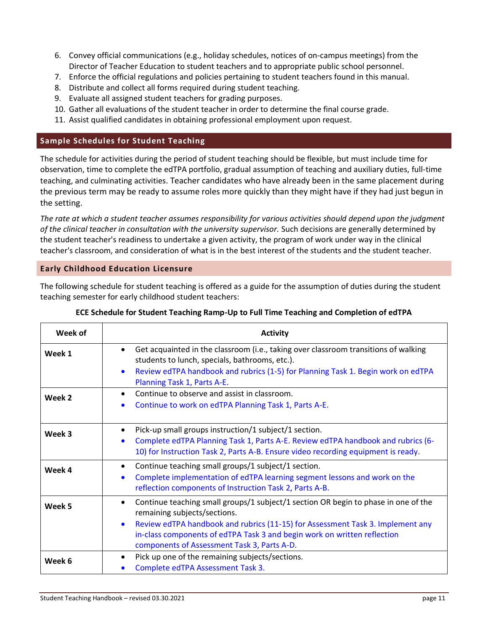- 6. Convey official communications (e.g., holiday schedules, notices of on-campus meetings) from the Director of Teacher Education to student teachers and to appropriate public school personnel.
- 7. Enforce the official regulations and policies pertaining to student teachers found in this manual.
- 8. Distribute and collect all forms required during student teaching.
- 9. Evaluate all assigned student teachers for grading purposes.
- 10. Gather all evaluations of the student teacher in order to determine the final course grade.
- 11. Assist qualified candidates in obtaining professional employment upon request.

# **Sample Schedules for Student Teaching**

The schedule for activities during the period of student teaching should be flexible, but must include time for observation, time to complete the edTPA portfolio, gradual assumption of teaching and auxiliary duties, full-time teaching, and culminating activities. Teacher candidates who have already been in the same placement during the previous term may be ready to assume roles more quickly than they might have if they had just begun in the setting.

*The rate at which a student teacher assumes responsibility for various activities should depend upon the judgment of the clinical teacher in consultation with the university supervisor.* Such decisions are generally determined by the student teacher's readiness to undertake a given activity, the program of work under way in the clinical teacher's classroom, and consideration of what is in the best interest of the students and the student teacher.

#### **Early Childhood Education Licensure**

The following schedule for student teaching is offered as a guide for the assumption of duties during the student teaching semester for early childhood student teachers:

| Week of | <b>Activity</b>                                                                                                                                                                                                                                                                                                                 |
|---------|---------------------------------------------------------------------------------------------------------------------------------------------------------------------------------------------------------------------------------------------------------------------------------------------------------------------------------|
| Week 1  | Get acquainted in the classroom (i.e., taking over classroom transitions of walking<br>students to lunch, specials, bathrooms, etc.).<br>Review edTPA handbook and rubrics (1-5) for Planning Task 1. Begin work on edTPA<br>$\bullet$<br>Planning Task 1, Parts A-E.                                                           |
| Week 2  | Continue to observe and assist in classroom.<br>Continue to work on edTPA Planning Task 1, Parts A-E.<br>$\bullet$                                                                                                                                                                                                              |
| Week 3  | Pick-up small groups instruction/1 subject/1 section.<br>Complete edTPA Planning Task 1, Parts A-E. Review edTPA handbook and rubrics (6-<br>10) for Instruction Task 2, Parts A-B. Ensure video recording equipment is ready.                                                                                                  |
| Week 4  | Continue teaching small groups/1 subject/1 section.<br>$\bullet$<br>Complete implementation of edTPA learning segment lessons and work on the<br>$\bullet$<br>reflection components of Instruction Task 2, Parts A-B.                                                                                                           |
| Week 5  | Continue teaching small groups/1 subject/1 section OR begin to phase in one of the<br>remaining subjects/sections.<br>Review edTPA handbook and rubrics (11-15) for Assessment Task 3. Implement any<br>in-class components of edTPA Task 3 and begin work on written reflection<br>components of Assessment Task 3, Parts A-D. |
| Week 6  | Pick up one of the remaining subjects/sections.<br>Complete edTPA Assessment Task 3.                                                                                                                                                                                                                                            |

#### **ECE Schedule for Student Teaching Ramp-Up to Full Time Teaching and Completion of edTPA**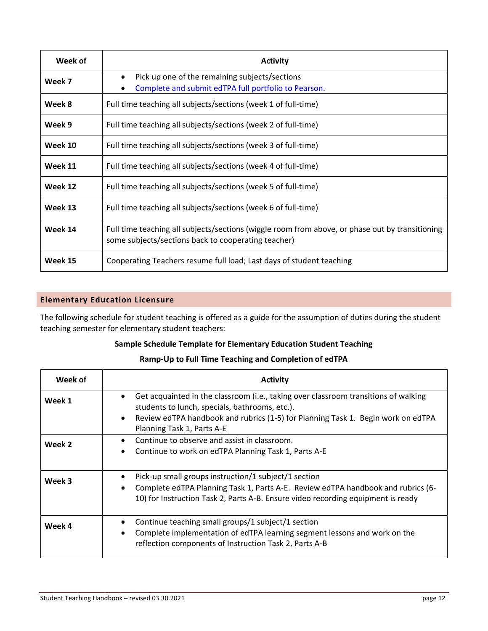| Week of | <b>Activity</b>                                                                                                                                        |
|---------|--------------------------------------------------------------------------------------------------------------------------------------------------------|
| Week 7  | Pick up one of the remaining subjects/sections<br>$\bullet$<br>Complete and submit edTPA full portfolio to Pearson.                                    |
| Week 8  | Full time teaching all subjects/sections (week 1 of full-time)                                                                                         |
| Week 9  | Full time teaching all subjects/sections (week 2 of full-time)                                                                                         |
| Week 10 | Full time teaching all subjects/sections (week 3 of full-time)                                                                                         |
| Week 11 | Full time teaching all subjects/sections (week 4 of full-time)                                                                                         |
| Week 12 | Full time teaching all subjects/sections (week 5 of full-time)                                                                                         |
| Week 13 | Full time teaching all subjects/sections (week 6 of full-time)                                                                                         |
| Week 14 | Full time teaching all subjects/sections (wiggle room from above, or phase out by transitioning<br>some subjects/sections back to cooperating teacher) |
| Week 15 | Cooperating Teachers resume full load; Last days of student teaching                                                                                   |

# **Elementary Education Licensure**

The following schedule for student teaching is offered as a guide for the assumption of duties during the student teaching semester for elementary student teachers:

# **Sample Schedule Template for Elementary Education Student Teaching**

# **Ramp-Up to Full Time Teaching and Completion of edTPA**

| Week of | <b>Activity</b>                                                                                                                                                                                                                                                           |
|---------|---------------------------------------------------------------------------------------------------------------------------------------------------------------------------------------------------------------------------------------------------------------------------|
| Week 1  | Get acquainted in the classroom (i.e., taking over classroom transitions of walking<br>٠<br>students to lunch, specials, bathrooms, etc.).<br>Review edTPA handbook and rubrics (1-5) for Planning Task 1. Begin work on edTPA<br>$\bullet$<br>Planning Task 1, Parts A-E |
| Week 2  | Continue to observe and assist in classroom.<br>$\bullet$<br>Continue to work on edTPA Planning Task 1, Parts A-E<br>$\bullet$                                                                                                                                            |
| Week 3  | Pick-up small groups instruction/1 subject/1 section<br>٠<br>Complete edTPA Planning Task 1, Parts A-E. Review edTPA handbook and rubrics (6-<br>$\bullet$<br>10) for Instruction Task 2, Parts A-B. Ensure video recording equipment is ready                            |
| Week 4  | Continue teaching small groups/1 subject/1 section<br>٠<br>Complete implementation of edTPA learning segment lessons and work on the<br>$\bullet$<br>reflection components of Instruction Task 2, Parts A-B                                                               |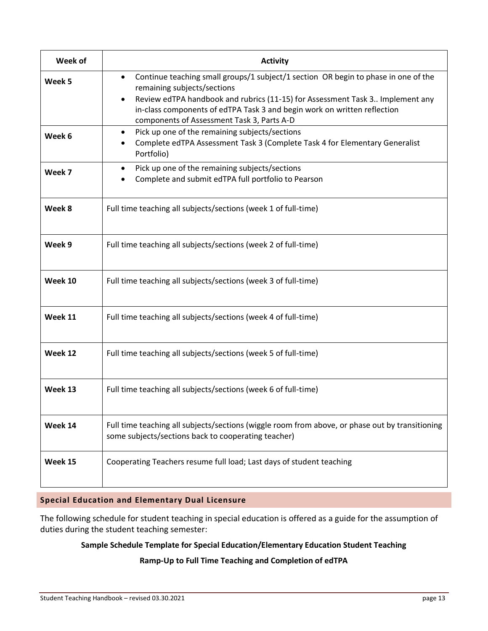| Week of | <b>Activity</b>                                                                                                                                                                                                                                                                                                                                        |
|---------|--------------------------------------------------------------------------------------------------------------------------------------------------------------------------------------------------------------------------------------------------------------------------------------------------------------------------------------------------------|
| Week 5  | Continue teaching small groups/1 subject/1 section OR begin to phase in one of the<br>$\bullet$<br>remaining subjects/sections<br>Review edTPA handbook and rubrics (11-15) for Assessment Task 3 Implement any<br>$\bullet$<br>in-class components of edTPA Task 3 and begin work on written reflection<br>components of Assessment Task 3, Parts A-D |
| Week 6  | Pick up one of the remaining subjects/sections<br>٠<br>Complete edTPA Assessment Task 3 (Complete Task 4 for Elementary Generalist<br>٠<br>Portfolio)                                                                                                                                                                                                  |
| Week 7  | Pick up one of the remaining subjects/sections<br>$\bullet$<br>Complete and submit edTPA full portfolio to Pearson                                                                                                                                                                                                                                     |
| Week 8  | Full time teaching all subjects/sections (week 1 of full-time)                                                                                                                                                                                                                                                                                         |
| Week 9  | Full time teaching all subjects/sections (week 2 of full-time)                                                                                                                                                                                                                                                                                         |
| Week 10 | Full time teaching all subjects/sections (week 3 of full-time)                                                                                                                                                                                                                                                                                         |
| Week 11 | Full time teaching all subjects/sections (week 4 of full-time)                                                                                                                                                                                                                                                                                         |
| Week 12 | Full time teaching all subjects/sections (week 5 of full-time)                                                                                                                                                                                                                                                                                         |
| Week 13 | Full time teaching all subjects/sections (week 6 of full-time)                                                                                                                                                                                                                                                                                         |
| Week 14 | Full time teaching all subjects/sections (wiggle room from above, or phase out by transitioning<br>some subjects/sections back to cooperating teacher)                                                                                                                                                                                                 |
| Week 15 | Cooperating Teachers resume full load; Last days of student teaching                                                                                                                                                                                                                                                                                   |

# **Special Education and Elementary Dual Licensure**

The following schedule for student teaching in special education is offered as a guide for the assumption of duties during the student teaching semester:

# **Sample Schedule Template for Special Education/Elementary Education Student Teaching**

#### **Ramp-Up to Full Time Teaching and Completion of edTPA**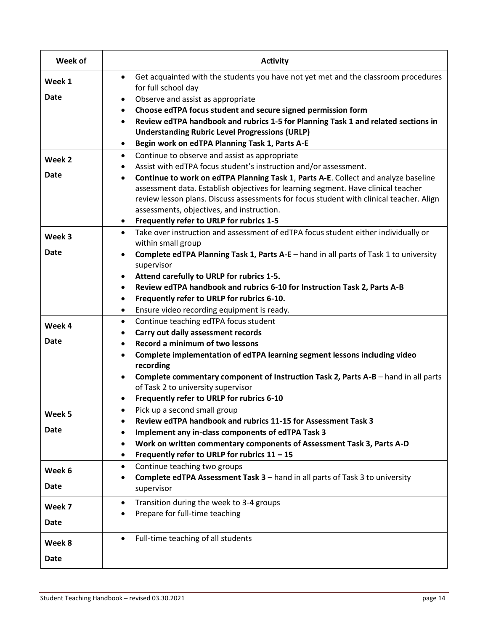| Week of               | <b>Activity</b>                                                                                                                                                                                                                                                                                                                                                                       |
|-----------------------|---------------------------------------------------------------------------------------------------------------------------------------------------------------------------------------------------------------------------------------------------------------------------------------------------------------------------------------------------------------------------------------|
| Week 1<br><b>Date</b> | Get acquainted with the students you have not yet met and the classroom procedures<br>$\bullet$<br>for full school day<br>Observe and assist as appropriate<br>٠<br>Choose edTPA focus student and secure signed permission form<br>$\bullet$                                                                                                                                         |
|                       | Review edTPA handbook and rubrics 1-5 for Planning Task 1 and related sections in<br><b>Understanding Rubric Level Progressions (URLP)</b><br>Begin work on edTPA Planning Task 1, Parts A-E<br>$\bullet$                                                                                                                                                                             |
| Week 2                | Continue to observe and assist as appropriate<br>٠<br>Assist with edTPA focus student's instruction and/or assessment.<br>٠                                                                                                                                                                                                                                                           |
| <b>Date</b>           | Continue to work on edTPA Planning Task 1, Parts A-E. Collect and analyze baseline<br>$\bullet$<br>assessment data. Establish objectives for learning segment. Have clinical teacher<br>review lesson plans. Discuss assessments for focus student with clinical teacher. Align<br>assessments, objectives, and instruction.<br>Frequently refer to URLP for rubrics 1-5<br>$\bullet$ |
| Week 3                | Take over instruction and assessment of edTPA focus student either individually or<br>$\bullet$<br>within small group                                                                                                                                                                                                                                                                 |
| <b>Date</b>           | Complete edTPA Planning Task 1, Parts A-E - hand in all parts of Task 1 to university<br>supervisor                                                                                                                                                                                                                                                                                   |
|                       | Attend carefully to URLP for rubrics 1-5.<br>Review edTPA handbook and rubrics 6-10 for Instruction Task 2, Parts A-B<br>٠<br>Frequently refer to URLP for rubrics 6-10.<br>$\bullet$<br>Ensure video recording equipment is ready.<br>٠                                                                                                                                              |
| Week 4<br><b>Date</b> | Continue teaching edTPA focus student<br>$\bullet$<br>Carry out daily assessment records                                                                                                                                                                                                                                                                                              |
|                       | Record a minimum of two lessons<br>$\bullet$<br>Complete implementation of edTPA learning segment lessons including video<br>$\bullet$<br>recording<br>Complete commentary component of Instruction Task 2, Parts A-B - hand in all parts<br>of Task 2 to university supervisor<br>Frequently refer to URLP for rubrics 6-10                                                          |
| Week 5                | Pick up a second small group<br>Review edTPA handbook and rubrics 11-15 for Assessment Task 3                                                                                                                                                                                                                                                                                         |
| <b>Date</b>           | Implement any in-class components of edTPA Task 3<br>Work on written commentary components of Assessment Task 3, Parts A-D<br>Frequently refer to URLP for rubrics $11 - 15$<br>٠                                                                                                                                                                                                     |
| Week 6<br><b>Date</b> | Continue teaching two groups<br>٠<br>Complete edTPA Assessment Task 3 - hand in all parts of Task 3 to university<br>٠<br>supervisor                                                                                                                                                                                                                                                  |
| Week 7<br>Date        | Transition during the week to 3-4 groups<br>$\bullet$<br>Prepare for full-time teaching                                                                                                                                                                                                                                                                                               |
| Week 8<br>Date        | Full-time teaching of all students<br>$\bullet$                                                                                                                                                                                                                                                                                                                                       |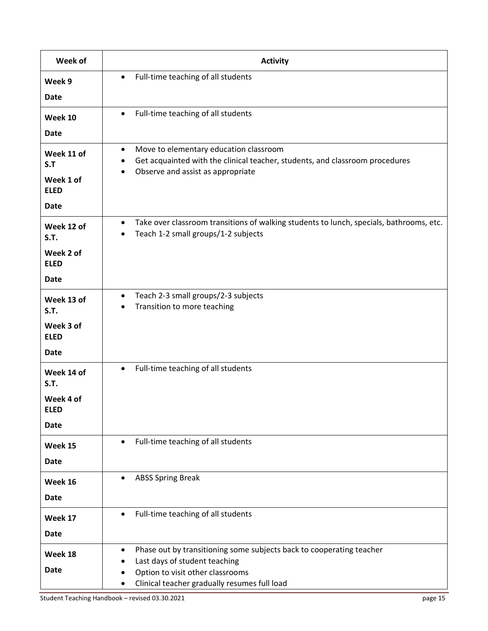| Week of                   | <b>Activity</b>                                                                                                                                  |
|---------------------------|--------------------------------------------------------------------------------------------------------------------------------------------------|
| Week 9                    | Full-time teaching of all students<br>$\bullet$                                                                                                  |
| <b>Date</b>               |                                                                                                                                                  |
| Week 10                   | Full-time teaching of all students<br>$\bullet$                                                                                                  |
| <b>Date</b>               |                                                                                                                                                  |
| Week 11 of                | Move to elementary education classroom<br>$\bullet$                                                                                              |
| S.T                       | Get acquainted with the clinical teacher, students, and classroom procedures<br>٠<br>Observe and assist as appropriate<br>$\bullet$              |
| Week 1 of<br><b>ELED</b>  |                                                                                                                                                  |
| <b>Date</b>               |                                                                                                                                                  |
| Week 12 of<br><b>S.T.</b> | Take over classroom transitions of walking students to lunch, specials, bathrooms, etc.<br>$\bullet$<br>Teach 1-2 small groups/1-2 subjects<br>٠ |
| Week 2 of<br><b>ELED</b>  |                                                                                                                                                  |
| <b>Date</b>               |                                                                                                                                                  |
| Week 13 of<br><b>S.T.</b> | Teach 2-3 small groups/2-3 subjects<br>$\bullet$<br>Transition to more teaching                                                                  |
| Week 3 of<br><b>ELED</b>  |                                                                                                                                                  |
| <b>Date</b>               |                                                                                                                                                  |
| Week 14 of<br><b>S.T.</b> | Full-time teaching of all students<br>$\bullet$                                                                                                  |
| Week 4 of<br><b>ELED</b>  |                                                                                                                                                  |
| <b>Date</b>               |                                                                                                                                                  |
| Week 15                   | Full-time teaching of all students<br>$\bullet$                                                                                                  |
| <b>Date</b>               |                                                                                                                                                  |
| Week 16                   | <b>ABSS Spring Break</b><br>$\bullet$                                                                                                            |
| <b>Date</b>               |                                                                                                                                                  |
| Week 17                   | Full-time teaching of all students<br>$\bullet$                                                                                                  |
| <b>Date</b>               |                                                                                                                                                  |
| Week 18                   | Phase out by transitioning some subjects back to cooperating teacher<br>٠<br>Last days of student teaching                                       |
| Date                      | Option to visit other classrooms                                                                                                                 |
|                           | Clinical teacher gradually resumes full load                                                                                                     |
|                           | Student Teaching Handbook - revised 03.30.2021<br>page 15                                                                                        |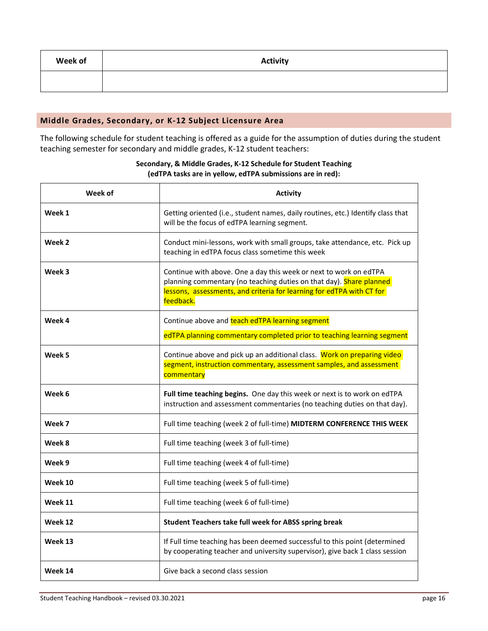| Week of | <b>Activity</b> |
|---------|-----------------|
|         |                 |

#### **Middle Grades, Secondary, or K-12 Subject Licensure Area**

The following schedule for student teaching is offered as a guide for the assumption of duties during the student teaching semester for secondary and middle grades, K-12 student teachers:

| Week of | <b>Activity</b>                                                                                                                                                                                                                |
|---------|--------------------------------------------------------------------------------------------------------------------------------------------------------------------------------------------------------------------------------|
| Week 1  | Getting oriented (i.e., student names, daily routines, etc.) Identify class that<br>will be the focus of edTPA learning segment.                                                                                               |
| Week 2  | Conduct mini-lessons, work with small groups, take attendance, etc. Pick up<br>teaching in edTPA focus class sometime this week                                                                                                |
| Week 3  | Continue with above. One a day this week or next to work on edTPA<br>planning commentary (no teaching duties on that day). Share planned<br>lessons, assessments, and criteria for learning for edTPA with CT for<br>feedback. |
| Week 4  | Continue above and teach edTPA learning segment                                                                                                                                                                                |
|         | edTPA planning commentary completed prior to teaching learning segment                                                                                                                                                         |
| Week 5  | Continue above and pick up an additional class. Work on preparing video<br>segment, instruction commentary, assessment samples, and assessment<br>commentary                                                                   |
| Week 6  | Full time teaching begins. One day this week or next is to work on edTPA<br>instruction and assessment commentaries (no teaching duties on that day).                                                                          |
| Week 7  | Full time teaching (week 2 of full-time) MIDTERM CONFERENCE THIS WEEK                                                                                                                                                          |
| Week 8  | Full time teaching (week 3 of full-time)                                                                                                                                                                                       |
| Week 9  | Full time teaching (week 4 of full-time)                                                                                                                                                                                       |
| Week 10 | Full time teaching (week 5 of full-time)                                                                                                                                                                                       |
| Week 11 | Full time teaching (week 6 of full-time)                                                                                                                                                                                       |
| Week 12 | Student Teachers take full week for ABSS spring break                                                                                                                                                                          |
| Week 13 | If Full time teaching has been deemed successful to this point (determined<br>by cooperating teacher and university supervisor), give back 1 class session                                                                     |
| Week 14 | Give back a second class session                                                                                                                                                                                               |

#### **Secondary, & Middle Grades, K-12 Schedule for Student Teaching (edTPA tasks are in yellow, edTPA submissions are in red):**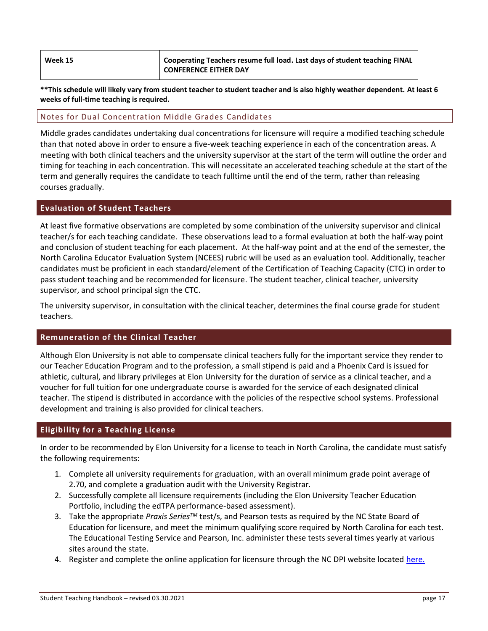| Week 15 | Cooperating Teachers resume full load. Last days of student teaching FINAL |
|---------|----------------------------------------------------------------------------|
|         | <b>CONFERENCE EITHER DAY</b>                                               |

**\*\*This schedule will likely vary from student teacher to student teacher and is also highly weather dependent. At least 6 weeks of full-time teaching is required.**

#### Notes for Dual Concentration Middle Grades Candidates

Middle grades candidates undertaking dual concentrations for licensure will require a modified teaching schedule than that noted above in order to ensure a five-week teaching experience in each of the concentration areas. A meeting with both clinical teachers and the university supervisor at the start of the term will outline the order and timing for teaching in each concentration. This will necessitate an accelerated teaching schedule at the start of the term and generally requires the candidate to teach fulltime until the end of the term, rather than releasing courses gradually.

#### **Evaluation of Student Teachers**

At least five formative observations are completed by some combination of the university supervisor and clinical teacher/s for each teaching candidate. These observations lead to a formal evaluation at both the half-way point and conclusion of student teaching for each placement. At the half-way point and at the end of the semester, the North Carolina Educator Evaluation System (NCEES) rubric will be used as an evaluation tool. Additionally, teacher candidates must be proficient in each standard/element of the Certification of Teaching Capacity (CTC) in order to pass student teaching and be recommended for licensure. The student teacher, clinical teacher, university supervisor, and school principal sign the CTC.

The university supervisor, in consultation with the clinical teacher, determines the final course grade for student teachers.

#### **Remuneration of the Clinical Teacher**

Although Elon University is not able to compensate clinical teachers fully for the important service they render to our Teacher Education Program and to the profession, a small stipend is paid and a Phoenix Card is issued for athletic, cultural, and library privileges at Elon University for the duration of service as a clinical teacher, and a voucher for full tuition for one undergraduate course is awarded for the service of each designated clinical teacher. The stipend is distributed in accordance with the policies of the respective school systems. Professional development and training is also provided for clinical teachers.

#### **Eligibility for a Teaching License**

In order to be recommended by Elon University for a license to teach in North Carolina, the candidate must satisfy the following requirements:

- 1. Complete all university requirements for graduation, with an overall minimum grade point average of 2.70, and complete a graduation audit with the University Registrar.
- 2. Successfully complete all licensure requirements (including the Elon University Teacher Education Portfolio, including the edTPA performance-based assessment).
- 3. Take the appropriate *Praxis SeriesTM* test/s, and Pearson tests as required by the NC State Board of Education for licensure, and meet the minimum qualifying score required by North Carolina for each test. The Educational Testing Service and Pearson, Inc. administer these tests several times yearly at various sites around the state.
- 4. Register and complete the online application for licensure through the NC DPI website locate[d here.](https://vo.licensure.ncpublicschools.gov/datamart/loginNCDPI.do;jsessionid=745AD1C77527A14B39C49527FCED5231.i-0d2beb593f64bd328)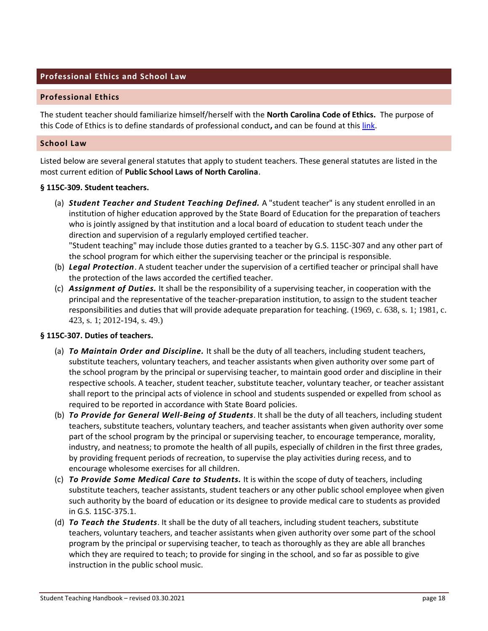# **Professional Ethics and School Law**

#### **Professional Ethics**

The student teacher should familiarize himself/herself with the **North Carolina Code of Ethics.** The purpose of this Code of Ethics is to define standards of professional conduct**,** and can be found at thi[s link.](http://www.ncpublicschools.org/docs/effectiveness-model/ncees/standards/code-of-ethics.pdf)

#### **School Law**

Listed below are several general statutes that apply to student teachers. These general statutes are listed in the most current edition of **Public School Laws of North Carolina**.

#### **§ 115C-309. Student teachers.**

- (a) *Student Teacher and Student Teaching Defined.* A "student teacher" is any student enrolled in an institution of higher education approved by the State Board of Education for the preparation of teachers who is jointly assigned by that institution and a local board of education to student teach under the direction and supervision of a regularly employed certified teacher. "Student teaching" may include those duties granted to a teacher by G.S. 115C-307 and any other part of the school program for which either the supervising teacher or the principal is responsible.
- (b) *Legal Protection*. A student teacher under the supervision of a certified teacher or principal shall have the protection of the laws accorded the certified teacher.
- (c) *Assignment of Duties.* It shall be the responsibility of a supervising teacher, in cooperation with the principal and the representative of the teacher-preparation institution, to assign to the student teacher responsibilities and duties that will provide adequate preparation for teaching. (1969, c. 638, s. 1; 1981, c. 423, s. 1; 2012-194, s. 49.)

#### **§ 115C-307. Duties of teachers.**

- (a) *To Maintain Order and Discipline.* It shall be the duty of all teachers, including student teachers, substitute teachers, voluntary teachers, and teacher assistants when given authority over some part of the school program by the principal or supervising teacher, to maintain good order and discipline in their respective schools. A teacher, student teacher, substitute teacher, voluntary teacher, or teacher assistant shall report to the principal acts of violence in school and students suspended or expelled from school as required to be reported in accordance with State Board policies.
- (b) *To Provide for General Well-Being of Students*. It shall be the duty of all teachers, including student teachers, substitute teachers, voluntary teachers, and teacher assistants when given authority over some part of the school program by the principal or supervising teacher, to encourage temperance, morality, industry, and neatness; to promote the health of all pupils, especially of children in the first three grades, by providing frequent periods of recreation, to supervise the play activities during recess, and to encourage wholesome exercises for all children.
- (c) *To Provide Some Medical Care to Students.* It is within the scope of duty of teachers, including substitute teachers, teacher assistants, student teachers or any other public school employee when given such authority by the board of education or its designee to provide medical care to students as provided in G.S. 115C-375.1.
- (d) *To Teach the Students*. It shall be the duty of all teachers, including student teachers, substitute teachers, voluntary teachers, and teacher assistants when given authority over some part of the school program by the principal or supervising teacher, to teach as thoroughly as they are able all branches which they are required to teach; to provide for singing in the school, and so far as possible to give instruction in the public school music.